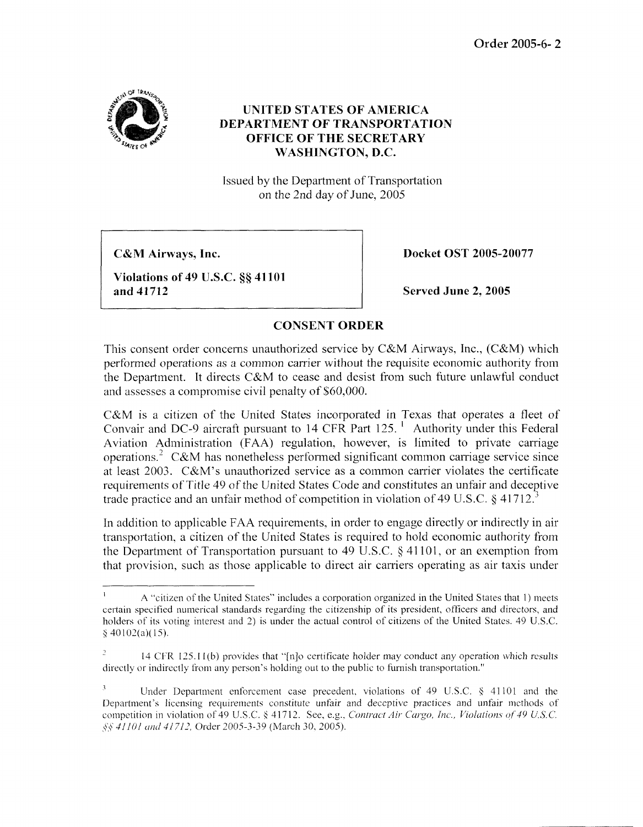

## **UNITED STATES OF AMERICA DEPARTMENT OF TRANSPORTATION OFFICE OF THE SECRETARY WASHINGTON, D.C.**

Issued by the Department of Transportation on the 2nd day of June, 2005

**CSrM Airways, Inc.** 

**Violations of 49 U.S.C.** *55* **41 101 and 41712** 

**Docket OST 2005-20077** 

**Served June 2,2005** 

## **CONSENT ORDER**

This consent order concerns unauthorized service by C&M Airways, Inc., (C&M) which performed operations as a common carrier without the requisite economic authority from the Department. It directs C&M to cease and desist from such future unlawful conduct and assesses a compromise civil penalty of \$60,000.

C&M is a citizen of the United States incorporated in Texas that operates a fleet of Convair and DC-9 aircraft pursuant to 14 CFR Part  $125<sup>-1</sup>$  Authority under this Federal Aviation Administration (FAA) regulation, however, is limited to private carriage operations.<sup>2</sup> C&M has nonetheless performed significant common carriage service since at least  $2003$ . C&M's unauthorized service as a common carrier violates the certificate requirements of Title 49 of the United States Code and constitutes an unfair and deceptive trade practice and an unfair method of competition in violation of 49 U.S.C. *5* 41712.3

In addition to applicable FAA requirements, in order to engage directly or indirectly in air transportation, a citizen of the United States is required to hold economic authority from the Department of Transportation pursuant to 49 U.S.C. *5* 41 101, or an exemption from that provision, such as thosc applicable to direct air carriers operating as air taxis under

**I A** "citizen of the United States" includes a corporation organized in the United States that 1) meets certain specified numerical standards regarding the citizenship of its president, officers and directors, and holders of its voting interest and 2) is under the actual control of citizens of the United States. 49 U.S.C.  $\frac{8}{9}$  40102(a)(15).

<sup>&</sup>lt;sup>2</sup> 14 CFR 125.11(b) provides that "[n]o certificate holder may conduct any operation which results directly or indirectly from any person's holding out to the public to furnish transportation."

<sup>&</sup>lt;sup>3</sup> Under Department enforcement case precedent, violations of 49 U.S.C. § 41101 and the Department's licensing requirements constitute unfair and deceptive practices and unfair methods of competition in violation of 49 U.S.C. § 41712. See, e.g., *Contract Air Cargo, Inc., Violations of 49 U.S.C.* \$4 *J/IOI trurd 4l713,* Order 2005-3-39 (March 30, *2005)*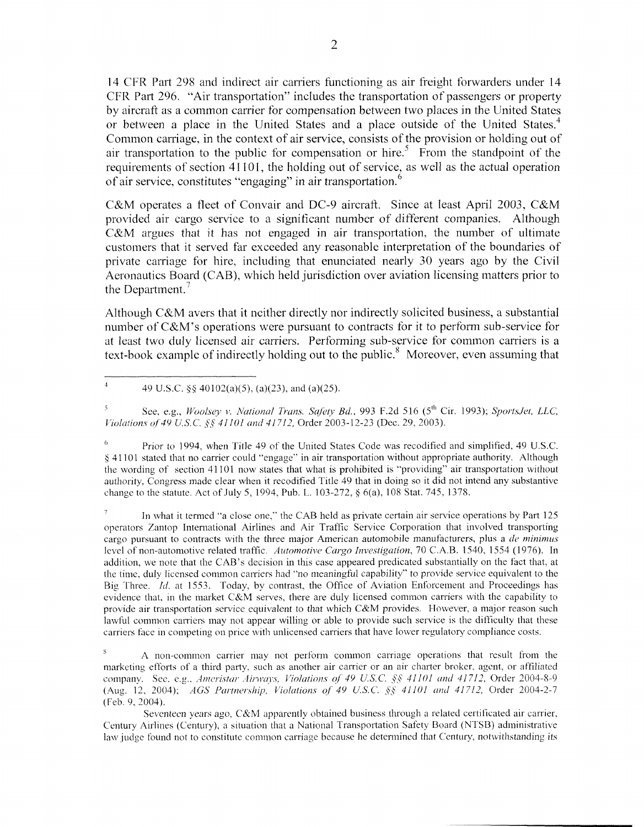14 CFR Part 298 and indirect air carriers functioning as air freight forwarders under 14 CFR Part 296. "Air transportation" includes the transportation of passengers or property by aircraft as a common carrier for Compensation between two places in the United States or between a place in the United States and a place outside of the United States.<sup>4</sup> Common carriage, in the context of air service, consists of the provision or holding out of air transportation to the public for compensation or hire.<sup>5</sup> From the standpoint of the requirements of section 41101, the holding out of service, as well as the actual operation of air service, constitutes "engaging" in air transportation.<sup>6</sup>

C&M operates a fleet of Convair and DC-9 aircraft. Since at least April 2003, C&M provided air cargo service to a significant number of different companies. Although C&M argues that it has not engaged in air transportation, the number of ultimate customers that it served far exceeded any reasonable interpretation of the boundaries of private carriage for hire, including that enunciated nearly 30 years ago by the Civil Aeronautics Board (CAB), which held jurisdiction over aviation licensing matters prior to the Department.<sup> $7$ </sup>

Although C&M avers that it ncither directly nor indirectly solicited business, a substantial number of C&M's operations were pursuant to contracts for it to perform sub-service for at least two duly licensed air carriers. Performing sub-service for common carriers is a text-book example of indirectly holding out to the public.<sup>8</sup> Moreover, even assuming that

4 49 U.S.C.  $\frac{8}{5}$  40102(a)(5), (a)(23), and (a)(25).

<sup>5</sup>*See, e* g , *IVool\q* **1** *Aafiunal Trmr Stifety Bd,* 993 F 2d 516 *(5"'* Cir 1993), *SpoytsJcjt, LLC, Fiolations of 49 U.S.C.*  $\frac{6}{5}$  *41101 and 41712, Order 2003-12-23 (Dec. 29, 2003).* 

<sup>6</sup>Prior to 1994, when Title 49 of the United States Code was recodified and simplified, 49 U.S.C. **h** 4 1 101 stated that no carrier could "engage" in air transportation without appropriate authority Although the wording of section 41 101 now states that what is prohibited is "providing" air transportation without authority, Congress made clear when it recodified Title 49 that in doing so it did not intend any substantive change to the statute. Act of July 5, 1994, Pub. L. 103-272, § 6(a), 108 Stat. 745, 1378.

**In** what it termed "a close one," the CAB held as private certain air service operations by Part 125 operators Zantop International Airlines and Air Traffic Service Corporation that involved transporting cargo pursuant to contracts with the three major American automobile manufacturers, plus a *de minimus* level of non-automotive related traffic. Automotive Cargo Investigation, 70 C.A.B. 1540, 1554 (1976). In addition, we note that the CAB'S decision in this case appeared predicated substantially on the tact that, at the time, duly licensed common carriers had "no meaningful capability" to provide service equivalent to the Big Three. *Id.* at 1553. Today, by contrast, the Office of Aviation Enforcement and Proceedings has evidence that, in the market C&M serves, there are duly licensed common carriers with the capability to provide air transportation service equivalent to that which  $C\&M$  provides. However, a major reason such lawtul common carriers inay not appear willing or able to provide such service **is** the difficulty that these carriers face in competing on price with unlicensed carriers that have lower regulatory compliance costs. *7* 

<sup>8</sup> A non-common carrier may not perform common carriage operations that result from the marketing efforts of a third party, such as another air carrier or an air charter broker, agent, or affiliated (Aug. 12. 2004); *AGS Partnership, Violations of 49 U.S.C. §§ 41101 and 41712, Order 2004-2-7* (Feb. 9, 2004). company. See, e.g., *Ameristar Airways, Violations of 49 U.S.C. §§ 41101 and 41712, Order 2004-8-9* 

Seventeen years ago,  $C&M$  apparently obtained business through a related certificated air carrier, Century Airlines (Century), a situation that a National Transportation Safety Board (NTSB) administrative law judge found not to constitute common carriage because he determined that Century, notwithstanding its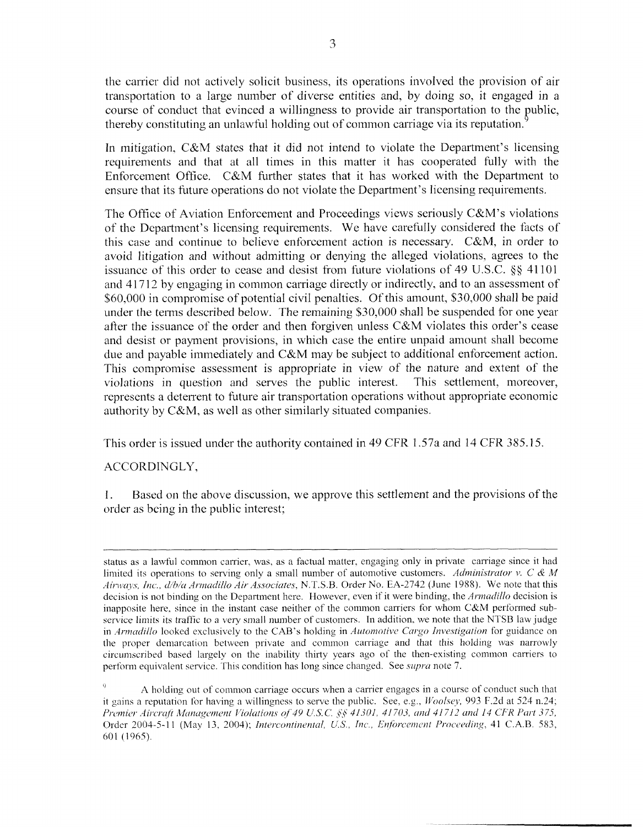the carrier did not actively solicit business, its operations involved the provision of air transportation to a large number of diverse entities and, by doing so, it engaged in a course of conduct that evinced a willingness to provide air transportation to the public, thereby constituting an unlawful holding out of common carriage via its reputation thereby constituting an unlawful holding out of common carriage via its reputation.

In mitigation, C&M states that it did not intend to violate the Department's licensing requirements and that at all times in this matter it has cooperated fully with the Enforcement Office. C&M further states that it has worked with the Department to ensure that its future operations do not violate the Department's licensing requirements.

The Office of Aviation Enforcement and Proceedings views seriously C&M's violations of the Department's licensing requirements. We have carefitlly considered the facts of this case and continue to believe enforcement action is necessary. C&M, in order to avoid litigation and without admitting or denying the alleged violations, agrees to the issuance of this order to cease and desist from future violations of 49 U.S.C. *\$5* 41101 and 4 17 12 by engaging in common carriage directly or indirectly, and to an assessment of \$60,000 in compromise of potential civil penalties. Of this amount, \$30,000 shall be paid under the terms described below. The remaining \$30,000 shall be suspended for one year after the issuance of the order and then forgiven unless C&M violates this order's cease and desist or payment provisions, in which case the entire unpaid amount shall become due and payable immediately and C&M may be subject to additional enforcement action. This compromise assessment is appropriate in view of the nature and extent of the violations in question and serves the public interest. This settlement, moreover, represents a deterrent to future air transportation operations without appropriate economic authority by C&M, as well as other similarly situated companies.

This order is issued under the authority contained in 49 CFR 1.57a and 14 CFR 385.15.

## ACCORDINGLY,

I. order as being in the public interest; Based on the above discussion, we approve this settlement and the provisions of the

status as a lawful common carrier, was, as a factual matter, engaging only in private carriage since it had limited its operations to serving only a small number of automotive customers. *Administrator v. C & M* ., *ZPK., dMu Amz(dil1u Ail- .4.woc,icrtcs,* N.T.S.B. Order No. EA-2742 (June 1988). We note that this decision is not binding on the Department here. However, even if it were binding, the *Armadillo* decision is inapposite here, since in the instant case neither of the common carriers for whom C&M performed subservice limits its traffic to a very small number of customers. In addition, we note that the NTSB law judge in *Armadillo* looked exclusively to the CAB's holding in *Automotive Cargo Investigation* for guidance on the proper demarcation between private and common carriage and that this holding was narrowly circumscribed based largely on the inability thirty years ago of the then-existing common carriers to perform equivalent service. This condition has long since changed. See *supra* note 7.

A holding out of common carriage occurs when a carrier engages in a course of conduct such that it gains a reputation for having a willingness to serve the public. See, e.g.,  $Woolsey$ , 993 F.2d at 524 n.24; *Premier Aircraft Management Violations of 49 U.S.C. §§ 41301, 41703, and 41712 and 14 CFR Part 375,* Order 2004-5-11 (May 13, 2004); *Intercontinental, U.S., Inc., Enforcement Proceeding*, 41 C.A.B. 583, 601 (1965)  $\mathbf Q$